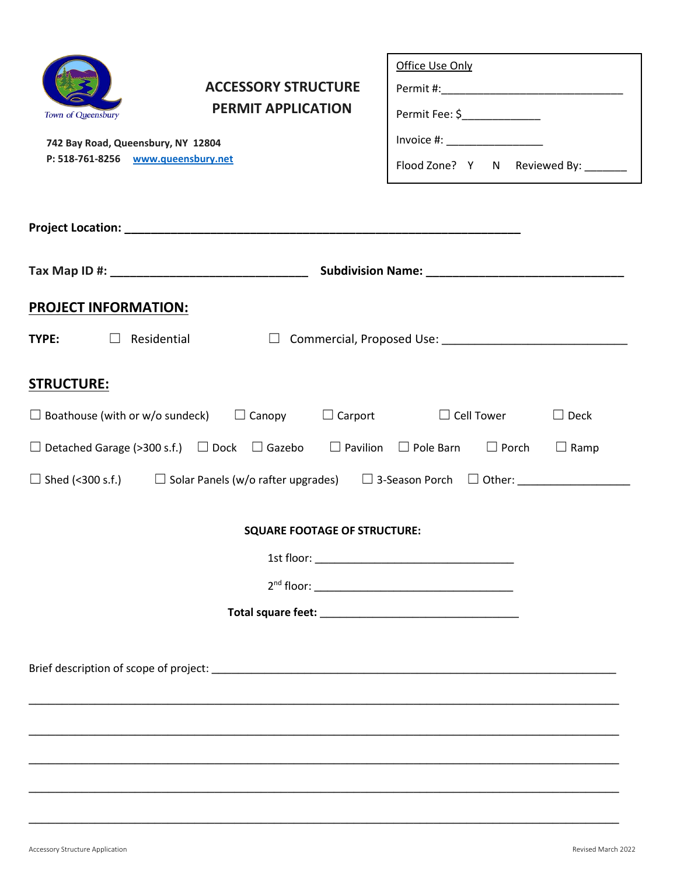| Town of Queensbury<br>742 Bay Road, Queensbury, NY 12804<br>P: 518-761-8256 www.queensbury.net | <b>ACCESSORY STRUCTURE</b><br><b>PERMIT APPLICATION</b>             | Office Use Only<br>Permit Fee: \$_______________<br>Flood Zone? Y N Reviewed By: ______                                |
|------------------------------------------------------------------------------------------------|---------------------------------------------------------------------|------------------------------------------------------------------------------------------------------------------------|
|                                                                                                |                                                                     |                                                                                                                        |
|                                                                                                |                                                                     |                                                                                                                        |
|                                                                                                |                                                                     |                                                                                                                        |
| <b>PROJECT INFORMATION:</b>                                                                    |                                                                     |                                                                                                                        |
| <b>TYPE:</b> $\Box$ Residential                                                                |                                                                     |                                                                                                                        |
| <b>STRUCTURE:</b>                                                                              |                                                                     |                                                                                                                        |
|                                                                                                | $\Box$ Boathouse (with or w/o sundeck) $\Box$ Canopy $\Box$ Carport | $\Box$ Cell Tower<br>$\Box$ Deck                                                                                       |
|                                                                                                |                                                                     | $\Box$ Detached Garage (>300 s.f.) $\Box$ Dock $\Box$ Gazebo $\Box$ Pavilion $\Box$ Pole Barn $\Box$ Porch $\Box$ Ramp |
|                                                                                                |                                                                     | $\Box$ Shed (<300 s.f.) $\Box$ Solar Panels (w/o rafter upgrades) $\Box$ 3-Season Porch $\Box$ Other:                  |
|                                                                                                | <b>SQUARE FOOTAGE OF STRUCTURE:</b>                                 |                                                                                                                        |
|                                                                                                |                                                                     |                                                                                                                        |
|                                                                                                |                                                                     |                                                                                                                        |
|                                                                                                |                                                                     |                                                                                                                        |
|                                                                                                |                                                                     |                                                                                                                        |
|                                                                                                |                                                                     |                                                                                                                        |

**\_\_\_\_\_\_\_\_\_\_\_\_\_\_\_\_\_\_\_\_\_\_\_\_\_\_\_\_\_\_\_\_\_\_\_\_\_\_\_\_\_\_\_\_\_\_\_\_\_\_\_\_\_\_\_\_\_\_\_\_\_\_\_\_\_\_\_\_\_\_\_\_\_\_\_\_\_\_\_\_\_\_\_\_\_\_\_\_\_**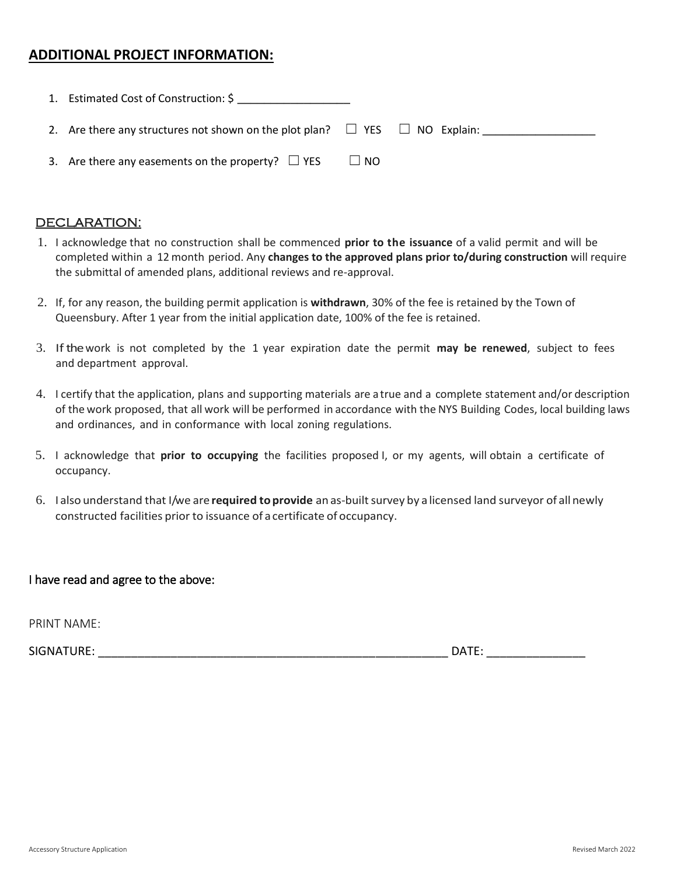#### **ADDITIONAL PROJECT INFORMATION:**

| 1. Estimated Cost of Construction: \$                                                 |           |  |
|---------------------------------------------------------------------------------------|-----------|--|
| 2. Are there any structures not shown on the plot plan? $\Box$ YES $\Box$ NO Explain: |           |  |
| 3. Are there any easements on the property? $\Box$ YES                                | $\Box$ NO |  |

#### DECLARATION:

- 1. I acknowledge that no construction shall be commenced **prior to the issuance** of a valid permit and will be completed within a 12 month period. Any **changes to the approved plans prior to/during construction** will require the submittal of amended plans, additional reviews and re-approval.
- 2. If, for any reason, the building permit application is **withdrawn**, 30% of the fee is retained by the Town of Queensbury. After 1 year from the initial application date, 100% of the fee is retained.
- 3. Ifthe work is not completed by the 1 year expiration date the permit **may be renewed**, subject to fees and department approval.
- 4. I certify that the application, plans and supporting materials are a true and a complete statement and/or description of the work proposed, that all work will be performed in accordance with the NYS Building Codes, local building laws and ordinances, and in conformance with local zoning regulations.
- 5. I acknowledge that **prior to occupying** the facilities proposed I, or my agents, will obtain a certificate of occupancy.
- 6. I also understand that I/we are **required toprovide** an as-builtsurvey by a licensed land surveyor of all newly constructed facilities prior to issuance of acertificate of occupancy.

#### I have read and agree to the above:

PRINT NAME:

SIGNATURE: \_\_\_\_\_\_\_\_\_\_\_\_\_\_\_\_\_\_\_\_\_\_\_\_\_\_\_\_\_\_\_\_\_\_\_\_\_\_\_\_\_\_\_\_\_\_\_\_\_\_\_\_\_ DATE: \_\_\_\_\_\_\_\_\_\_\_\_\_\_\_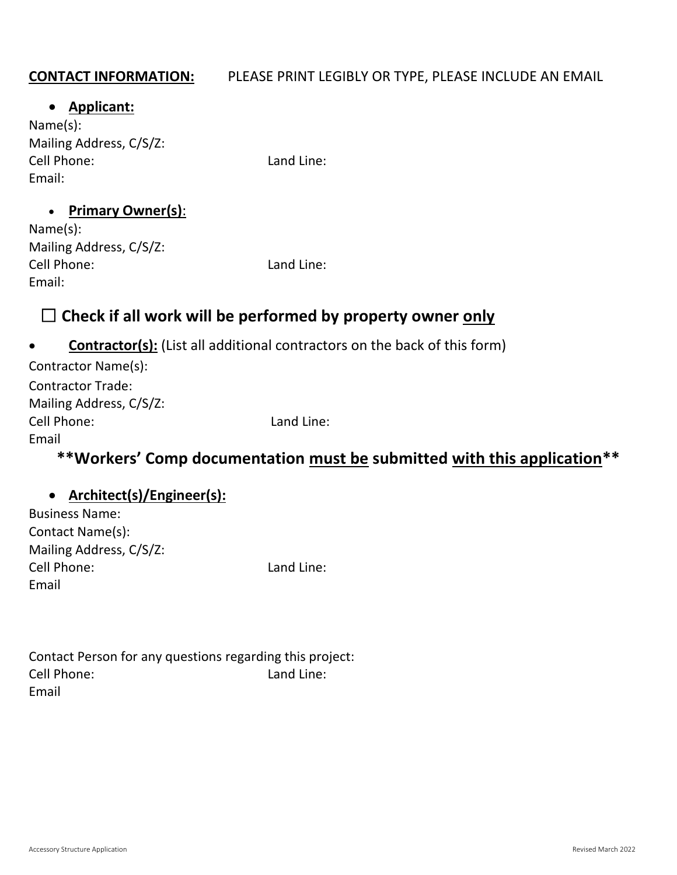## **CONTACT INFORMATION:** PLEASE PRINT LEGIBLY OR TYPE, PLEASE INCLUDE AN EMAIL

#### **Applicant:**

Name(s): Mailing Address, C/S/Z: Cell Phone: Land Line: Email:

#### **Primary Owner(s)**:

| Name(s):                |
|-------------------------|
| Mailing Address, C/S/Z: |
| Cell Phone:             |
| Email:                  |

Land Line:

# ☐ **Check if all work will be performed by property owner only**

## **Contractor(s):** (List all additional contractors on the back of this form)

| Contractor Name(s):      |                                                                                                                |  |   |
|--------------------------|----------------------------------------------------------------------------------------------------------------|--|---|
| <b>Contractor Trade:</b> |                                                                                                                |  |   |
| Mailing Address, C/S/Z:  |                                                                                                                |  |   |
| Cell Phone:              | Land Line:                                                                                                     |  |   |
| Email                    |                                                                                                                |  |   |
|                          | rende de la construcción de la construcción de la construcción de la construcción de la construcción de la con |  | . |

# **\*\*Workers' Comp documentation must be submitted with this application\*\***

## **Architect(s)/Engineer(s):**

| <b>Business Name:</b>   |
|-------------------------|
| Contact Name(s):        |
| Mailing Address, C/S/Z: |
| Cell Phone:             |
| Email                   |

Land Line:

| Contact Person for any questions regarding this project: |            |
|----------------------------------------------------------|------------|
| Cell Phone:                                              | Land Line: |
| Email                                                    |            |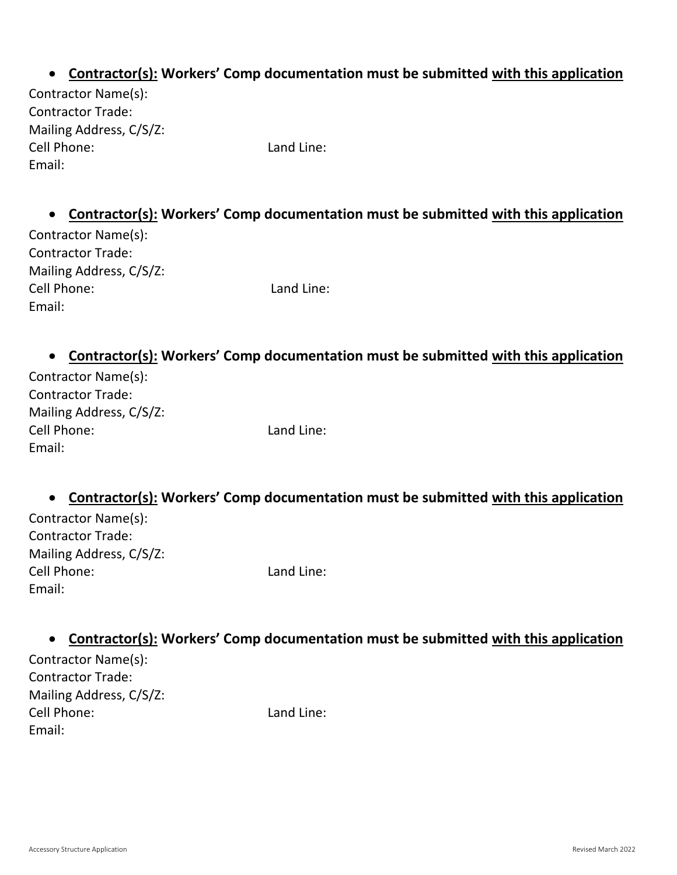## **Contractor(s): Workers' Comp documentation must be submitted with this application**

Contractor Name(s): Contractor Trade: Mailing Address, C/S/Z: Cell Phone: Land Line: Email:

## **Contractor(s): Workers' Comp documentation must be submitted with this application**

| Contractor Name(s):      |
|--------------------------|
| <b>Contractor Trade:</b> |
| Mailing Address, C/S/Z:  |
| Cell Phone:              |
| Email:                   |

Land Line:

#### **Contractor(s): Workers' Comp documentation must be submitted with this application**

| Contractor Name(s):      |            |
|--------------------------|------------|
| <b>Contractor Trade:</b> |            |
| Mailing Address, C/S/Z:  |            |
| Cell Phone:              | Land Line: |
| Email:                   |            |

## **Contractor(s): Workers' Comp documentation must be submitted with this application**

| Contractor Name(s):      |
|--------------------------|
| <b>Contractor Trade:</b> |
| Mailing Address, C/S/Z:  |
| Cell Phone:              |
| Email:                   |

Land Line:

### **Contractor(s): Workers' Comp documentation must be submitted with this application**

Contractor Name(s): Contractor Trade: Mailing Address, C/S/Z: Cell Phone: Land Line: Email: